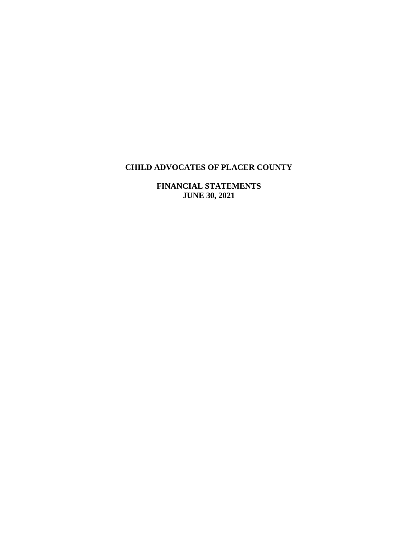# **CHILD ADVOCATES OF PLACER COUNTY**

**FINANCIAL STATEMENTS JUNE 30, 2021**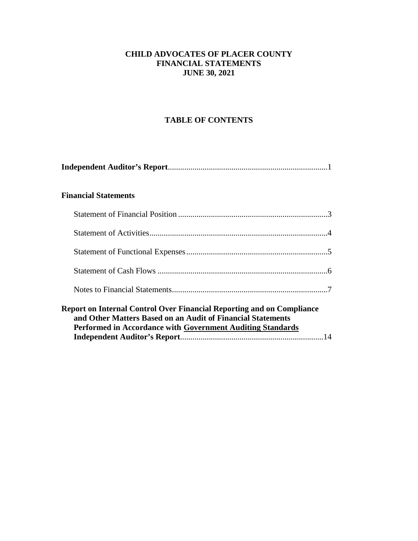# **TABLE OF CONTENTS**

| <b>Financial Statements</b>                                                                                                                                                                               |
|-----------------------------------------------------------------------------------------------------------------------------------------------------------------------------------------------------------|
|                                                                                                                                                                                                           |
|                                                                                                                                                                                                           |
|                                                                                                                                                                                                           |
|                                                                                                                                                                                                           |
|                                                                                                                                                                                                           |
| Report on Internal Control Over Financial Reporting and on Compliance<br>and Other Matters Based on an Audit of Financial Statements<br><b>Performed in Accordance with Government Auditing Standards</b> |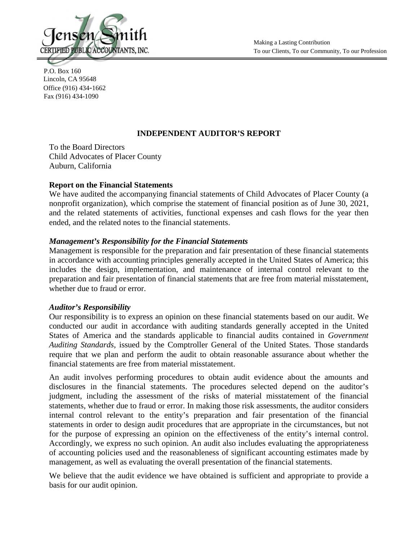

P.O. Box 160 Lincoln, CA 95648 Office (916) 434-1662 Fax (916) 434-1090

# **INDEPENDENT AUDITOR'S REPORT**

To the Board Directors Child Advocates of Placer County Auburn, California

## **Report on the Financial Statements**

We have audited the accompanying financial statements of Child Advocates of Placer County (a nonprofit organization), which comprise the statement of financial position as of June 30, 2021, and the related statements of activities, functional expenses and cash flows for the year then ended, and the related notes to the financial statements.

## *Management's Responsibility for the Financial Statements*

Management is responsible for the preparation and fair presentation of these financial statements in accordance with accounting principles generally accepted in the United States of America; this includes the design, implementation, and maintenance of internal control relevant to the preparation and fair presentation of financial statements that are free from material misstatement, whether due to fraud or error.

#### *Auditor's Responsibility*

Our responsibility is to express an opinion on these financial statements based on our audit. We conducted our audit in accordance with auditing standards generally accepted in the United States of America and the standards applicable to financial audits contained in *Government Auditing Standards*, issued by the Comptroller General of the United States. Those standards require that we plan and perform the audit to obtain reasonable assurance about whether the financial statements are free from material misstatement.

An audit involves performing procedures to obtain audit evidence about the amounts and disclosures in the financial statements. The procedures selected depend on the auditor's judgment, including the assessment of the risks of material misstatement of the financial statements, whether due to fraud or error. In making those risk assessments, the auditor considers internal control relevant to the entity's preparation and fair presentation of the financial statements in order to design audit procedures that are appropriate in the circumstances, but not for the purpose of expressing an opinion on the effectiveness of the entity's internal control. Accordingly, we express no such opinion. An audit also includes evaluating the appropriateness of accounting policies used and the reasonableness of significant accounting estimates made by management, as well as evaluating the overall presentation of the financial statements.

We believe that the audit evidence we have obtained is sufficient and appropriate to provide a basis for our audit opinion.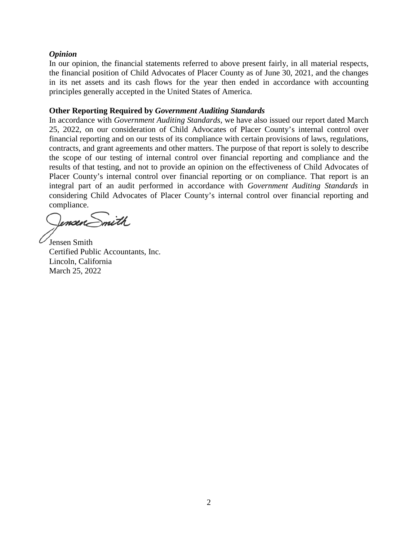### *Opinion*

In our opinion, the financial statements referred to above present fairly, in all material respects, the financial position of Child Advocates of Placer County as of June 30, 2021, and the changes in its net assets and its cash flows for the year then ended in accordance with accounting principles generally accepted in the United States of America.

### **Other Reporting Required by** *Government Auditing Standards*

In accordance with *Government Auditing Standards*, we have also issued our report dated March 25, 2022, on our consideration of Child Advocates of Placer County's internal control over financial reporting and on our tests of its compliance with certain provisions of laws, regulations, contracts, and grant agreements and other matters. The purpose of that report is solely to describe the scope of our testing of internal control over financial reporting and compliance and the results of that testing, and not to provide an opinion on the effectiveness of Child Advocates of Placer County's internal control over financial reporting or on compliance. That report is an integral part of an audit performed in accordance with *Government Auditing Standards* in considering Child Advocates of Placer County's internal control over financial reporting and compliance.

Insen mith

Jensen Smith Certified Public Accountants, Inc. Lincoln, California March 25, 2022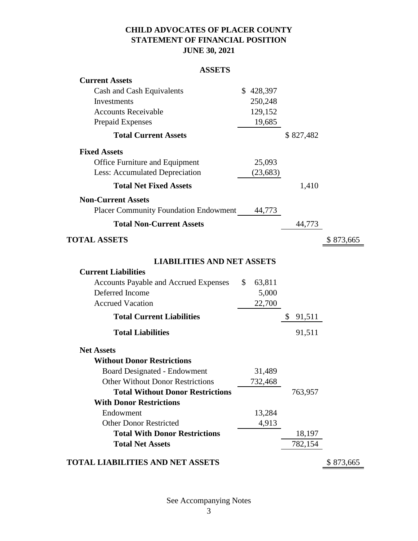# **CHILD ADVOCATES OF PLACER COUNTY STATEMENT OF FINANCIAL POSITION JUNE 30, 2021**

# **ASSETS**

| <b>Current Assets</b>                        |              |           |           |
|----------------------------------------------|--------------|-----------|-----------|
| Cash and Cash Equivalents                    | \$428,397    |           |           |
| Investments                                  | 250,248      |           |           |
| <b>Accounts Receivable</b>                   | 129,152      |           |           |
| Prepaid Expenses                             | 19,685       |           |           |
| <b>Total Current Assets</b>                  |              | \$827,482 |           |
| <b>Fixed Assets</b>                          |              |           |           |
| Office Furniture and Equipment               | 25,093       |           |           |
| Less: Accumulated Depreciation               | (23, 683)    |           |           |
| <b>Total Net Fixed Assets</b>                |              | 1,410     |           |
| <b>Non-Current Assets</b>                    |              |           |           |
| <b>Placer Community Foundation Endowment</b> | 44,773       |           |           |
| <b>Total Non-Current Assets</b>              |              | 44,773    |           |
| <b>TOTAL ASSETS</b>                          |              |           | \$873,665 |
| <b>LIABILITIES AND NET ASSETS</b>            |              |           |           |
| <b>Current Liabilities</b>                   |              |           |           |
| <b>Accounts Payable and Accrued Expenses</b> | \$<br>63,811 |           |           |
| Deferred Income                              | 5,000        |           |           |
| <b>Accrued Vacation</b>                      | 22,700       |           |           |
| <b>Total Current Liabilities</b>             |              | \$91,511  |           |
| <b>Total Liabilities</b>                     |              | 91,511    |           |
| <b>Net Assets</b>                            |              |           |           |
| <b>Without Donor Restrictions</b>            |              |           |           |
| <b>Board Designated - Endowment</b>          | 31,489       |           |           |
| <b>Other Without Donor Restrictions</b>      | 732,468      |           |           |
| <b>Total Without Donor Restrictions</b>      |              | 763,957   |           |
| <b>With Donor Restrictions</b>               |              |           |           |
| Endowment                                    | 13,284       |           |           |
| <b>Other Donor Restricted</b>                | 4,913        |           |           |
| <b>Total With Donor Restrictions</b>         |              | 18,197    |           |
| <b>Total Net Assets</b>                      |              | 782,154   |           |
| <b>TOTAL LIABILITIES AND NET ASSETS</b>      |              |           | \$873,665 |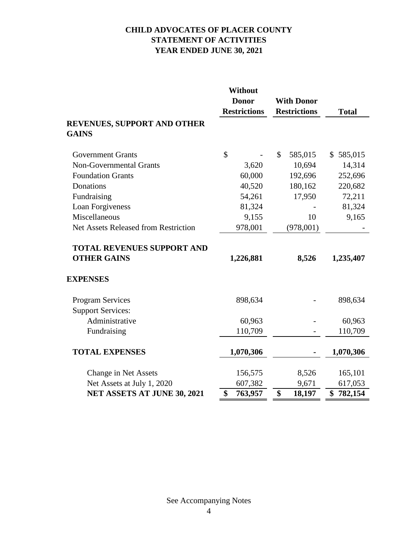# **CHILD ADVOCATES OF PLACER COUNTY STATEMENT OF ACTIVITIES YEAR ENDED JUNE 30, 2021**

|                                                         | <b>Without</b><br><b>Donor</b><br><b>Restrictions</b> | <b>With Donor</b><br><b>Restrictions</b> | <b>Total</b> |
|---------------------------------------------------------|-------------------------------------------------------|------------------------------------------|--------------|
| <b>REVENUES, SUPPORT AND OTHER</b><br><b>GAINS</b>      |                                                       |                                          |              |
| <b>Government Grants</b>                                | $\mathcal{S}$                                         | \$<br>585,015                            | \$585,015    |
| <b>Non-Governmental Grants</b>                          | 3,620                                                 | 10,694                                   | 14,314       |
| <b>Foundation Grants</b>                                | 60,000                                                | 192,696                                  | 252,696      |
| Donations                                               | 40,520                                                | 180,162                                  | 220,682      |
| Fundraising                                             | 54,261                                                | 17,950                                   | 72,211       |
| Loan Forgiveness                                        | 81,324                                                |                                          | 81,324       |
| Miscellaneous                                           | 9,155                                                 | 10                                       | 9,165        |
| <b>Net Assets Released from Restriction</b>             | 978,001                                               | (978,001)                                |              |
| <b>TOTAL REVENUES SUPPORT AND</b><br><b>OTHER GAINS</b> | 1,226,881                                             | 8,526                                    | 1,235,407    |
| <b>EXPENSES</b>                                         |                                                       |                                          |              |
| <b>Program Services</b><br><b>Support Services:</b>     | 898,634                                               |                                          | 898,634      |
| Administrative                                          | 60,963                                                |                                          | 60,963       |
| Fundraising                                             | 110,709                                               |                                          | 110,709      |
| <b>TOTAL EXPENSES</b>                                   | 1,070,306                                             |                                          | 1,070,306    |
| Change in Net Assets                                    | 156,575                                               | 8,526                                    | 165,101      |
| Net Assets at July 1, 2020                              | 607,382                                               | 9,671                                    | 617,053      |
| NET ASSETS AT JUNE 30, 2021                             | \$<br>763,957                                         | \$<br>18,197                             | \$782,154    |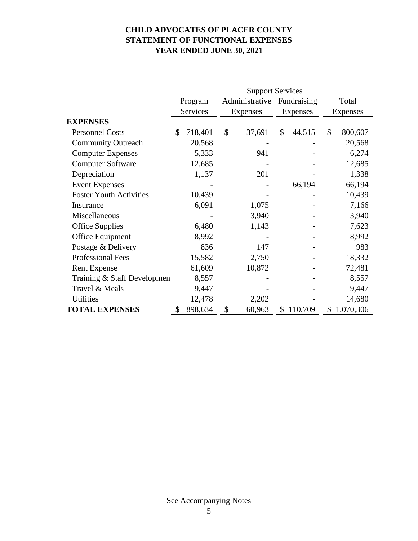# **CHILD ADVOCATES OF PLACER COUNTY STATEMENT OF FUNCTIONAL EXPENSES YEAR ENDED JUNE 30, 2021**

|                                | Program       | Administrative<br>Fundraising |               |                 |  |  |
|--------------------------------|---------------|-------------------------------|---------------|-----------------|--|--|
|                                | Services      | <b>Expenses</b>               | Expenses      | <b>Expenses</b> |  |  |
| <b>EXPENSES</b>                |               |                               |               |                 |  |  |
| <b>Personnel Costs</b>         | \$<br>718,401 | \$<br>37,691                  | \$<br>44,515  | \$<br>800,607   |  |  |
| <b>Community Outreach</b>      | 20,568        |                               |               | 20,568          |  |  |
| <b>Computer Expenses</b>       | 5,333         | 941                           |               | 6,274           |  |  |
| <b>Computer Software</b>       | 12,685        |                               |               | 12,685          |  |  |
| Depreciation                   | 1,137         | 201                           |               | 1,338           |  |  |
| <b>Event Expenses</b>          |               |                               | 66,194        | 66,194          |  |  |
| <b>Foster Youth Activities</b> | 10,439        |                               |               | 10,439          |  |  |
| Insurance                      | 6,091         | 1,075                         |               | 7,166           |  |  |
| Miscellaneous                  |               | 3,940                         |               | 3,940           |  |  |
| <b>Office Supplies</b>         | 6,480         | 1,143                         |               | 7,623           |  |  |
| Office Equipment               | 8,992         |                               |               | 8,992           |  |  |
| Postage & Delivery             | 836           | 147                           |               | 983             |  |  |
| <b>Professional Fees</b>       | 15,582        | 2,750                         |               | 18,332          |  |  |
| <b>Rent Expense</b>            | 61,609        | 10,872                        |               | 72,481          |  |  |
| Training & Staff Development   | 8,557         |                               |               | 8,557           |  |  |
| Travel & Meals                 | 9,447         |                               |               | 9,447           |  |  |
| <b>Utilities</b>               | 12,478        | 2,202                         |               | 14,680          |  |  |
| <b>TOTAL EXPENSES</b>          | 898,634<br>\$ | \$<br>60,963                  | 110,709<br>\$ | 1,070,306<br>\$ |  |  |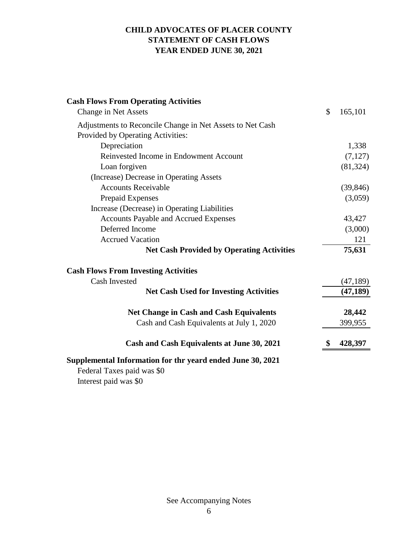# **CHILD ADVOCATES OF PLACER COUNTY STATEMENT OF CASH FLOWS YEAR ENDED JUNE 30, 2021**

| <b>Cash Flows From Operating Activities</b>                                              |               |
|------------------------------------------------------------------------------------------|---------------|
| Change in Net Assets                                                                     | \$<br>165,101 |
| Adjustments to Reconcile Change in Net Assets to Net Cash                                |               |
| Provided by Operating Activities:                                                        |               |
| Depreciation                                                                             | 1,338         |
| Reinvested Income in Endowment Account                                                   | (7,127)       |
| Loan forgiven                                                                            | (81, 324)     |
| (Increase) Decrease in Operating Assets                                                  |               |
| <b>Accounts Receivable</b>                                                               | (39, 846)     |
| <b>Prepaid Expenses</b>                                                                  | (3,059)       |
| Increase (Decrease) in Operating Liabilities                                             |               |
| <b>Accounts Payable and Accrued Expenses</b>                                             | 43,427        |
| Deferred Income                                                                          | (3,000)       |
| <b>Accrued Vacation</b>                                                                  | 121           |
| <b>Net Cash Provided by Operating Activities</b>                                         | 75,631        |
| <b>Cash Flows From Investing Activities</b>                                              |               |
| <b>Cash Invested</b>                                                                     | (47, 189)     |
| <b>Net Cash Used for Investing Activities</b>                                            | (47, 189)     |
| <b>Net Change in Cash and Cash Equivalents</b>                                           | 28,442        |
| Cash and Cash Equivalents at July 1, 2020                                                | 399,955       |
| Cash and Cash Equivalents at June 30, 2021                                               | 428,397       |
| Supplemental Information for thr yeard ended June 30, 2021<br>Federal Taxes paid was \$0 |               |

Interest paid was \$0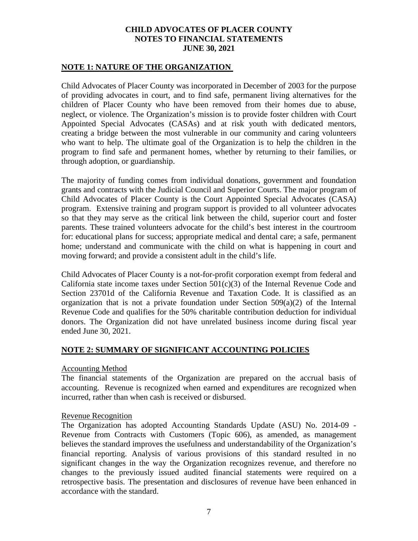### **NOTE 1: NATURE OF THE ORGANIZATION**

Child Advocates of Placer County was incorporated in December of 2003 for the purpose of providing advocates in court, and to find safe, permanent living alternatives for the children of Placer County who have been removed from their homes due to abuse, neglect, or violence. The Organization's mission is to provide foster children with Court Appointed Special Advocates (CASAs) and at risk youth with dedicated mentors, creating a bridge between the most vulnerable in our community and caring volunteers who want to help. The ultimate goal of the Organization is to help the children in the program to find safe and permanent homes, whether by returning to their families, or through adoption, or guardianship.

The majority of funding comes from individual donations, government and foundation grants and contracts with the Judicial Council and Superior Courts. The major program of Child Advocates of Placer County is the Court Appointed Special Advocates (CASA) program. Extensive training and program support is provided to all volunteer advocates so that they may serve as the critical link between the child, superior court and foster parents. These trained volunteers advocate for the child's best interest in the courtroom for: educational plans for success; appropriate medical and dental care; a safe, permanent home; understand and communicate with the child on what is happening in court and moving forward; and provide a consistent adult in the child's life.

Child Advocates of Placer County is a not-for-profit corporation exempt from federal and California state income taxes under Section  $501(c)(3)$  of the Internal Revenue Code and Section 23701d of the California Revenue and Taxation Code. It is classified as an organization that is not a private foundation under Section  $509(a)(2)$  of the Internal Revenue Code and qualifies for the 50% charitable contribution deduction for individual donors. The Organization did not have unrelated business income during fiscal year ended June 30, 2021.

## **NOTE 2: SUMMARY OF SIGNIFICANT ACCOUNTING POLICIES**

#### Accounting Method

The financial statements of the Organization are prepared on the accrual basis of accounting. Revenue is recognized when earned and expenditures are recognized when incurred, rather than when cash is received or disbursed.

#### Revenue Recognition

The Organization has adopted Accounting Standards Update (ASU) No. 2014-09 - Revenue from Contracts with Customers (Topic 606), as amended, as management believes the standard improves the usefulness and understandability of the Organization's financial reporting. Analysis of various provisions of this standard resulted in no significant changes in the way the Organization recognizes revenue, and therefore no changes to the previously issued audited financial statements were required on a retrospective basis. The presentation and disclosures of revenue have been enhanced in accordance with the standard.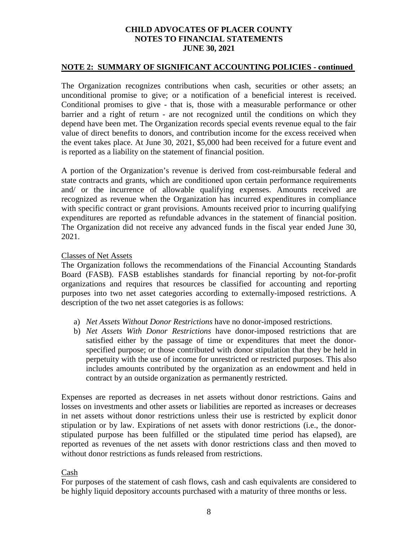### **NOTE 2: SUMMARY OF SIGNIFICANT ACCOUNTING POLICIES - continued**

The Organization recognizes contributions when cash, securities or other assets; an unconditional promise to give; or a notification of a beneficial interest is received. Conditional promises to give - that is, those with a measurable performance or other barrier and a right of return - are not recognized until the conditions on which they depend have been met. The Organization records special events revenue equal to the fair value of direct benefits to donors, and contribution income for the excess received when the event takes place. At June 30, 2021, \$5,000 had been received for a future event and is reported as a liability on the statement of financial position.

A portion of the Organization's revenue is derived from cost-reimbursable federal and state contracts and grants, which are conditioned upon certain performance requirements and/ or the incurrence of allowable qualifying expenses. Amounts received are recognized as revenue when the Organization has incurred expenditures in compliance with specific contract or grant provisions. Amounts received prior to incurring qualifying expenditures are reported as refundable advances in the statement of financial position. The Organization did not receive any advanced funds in the fiscal year ended June 30, 2021.

### Classes of Net Assets

The Organization follows the recommendations of the Financial Accounting Standards Board (FASB). FASB establishes standards for financial reporting by not-for-profit organizations and requires that resources be classified for accounting and reporting purposes into two net asset categories according to externally-imposed restrictions. A description of the two net asset categories is as follows:

- a) *Net Assets Without Donor Restrictions* have no donor-imposed restrictions.
- b) *Net Assets With Donor Restrictions* have donor-imposed restrictions that are satisfied either by the passage of time or expenditures that meet the donorspecified purpose; or those contributed with donor stipulation that they be held in perpetuity with the use of income for unrestricted or restricted purposes. This also includes amounts contributed by the organization as an endowment and held in contract by an outside organization as permanently restricted.

Expenses are reported as decreases in net assets without donor restrictions. Gains and losses on investments and other assets or liabilities are reported as increases or decreases in net assets without donor restrictions unless their use is restricted by explicit donor stipulation or by law. Expirations of net assets with donor restrictions (i.e., the donorstipulated purpose has been fulfilled or the stipulated time period has elapsed), are reported as revenues of the net assets with donor restrictions class and then moved to without donor restrictions as funds released from restrictions.

## Cash

For purposes of the statement of cash flows, cash and cash equivalents are considered to be highly liquid depository accounts purchased with a maturity of three months or less.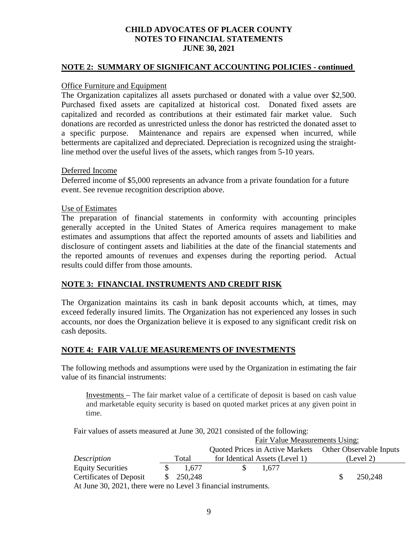#### **NOTE 2: SUMMARY OF SIGNIFICANT ACCOUNTING POLICIES - continued**

### Office Furniture and Equipment

The Organization capitalizes all assets purchased or donated with a value over \$2,500. Purchased fixed assets are capitalized at historical cost. Donated fixed assets are capitalized and recorded as contributions at their estimated fair market value. Such donations are recorded as unrestricted unless the donor has restricted the donated asset to a specific purpose. Maintenance and repairs are expensed when incurred, while betterments are capitalized and depreciated. Depreciation is recognized using the straightline method over the useful lives of the assets, which ranges from 5-10 years.

### Deferred Income

Deferred income of \$5,000 represents an advance from a private foundation for a future event. See revenue recognition description above.

#### Use of Estimates

The preparation of financial statements in conformity with accounting principles generally accepted in the United States of America requires management to make estimates and assumptions that affect the reported amounts of assets and liabilities and disclosure of contingent assets and liabilities at the date of the financial statements and the reported amounts of revenues and expenses during the reporting period. Actual results could differ from those amounts.

## **NOTE 3: FINANCIAL INSTRUMENTS AND CREDIT RISK**

The Organization maintains its cash in bank deposit accounts which, at times, may exceed federally insured limits. The Organization has not experienced any losses in such accounts, nor does the Organization believe it is exposed to any significant credit risk on cash deposits.

## **NOTE 4: FAIR VALUE MEASUREMENTS OF INVESTMENTS**

The following methods and assumptions were used by the Organization in estimating the fair value of its financial instruments:

Investments – The fair market value of a certificate of deposit is based on cash value and marketable equity security is based on quoted market prices at any given point in time.

Fair values of assets measured at June 30, 2021 consisted of the following:

|                                                                |           | Fair Value Measurements Using: |  |                                |  |     |                                                         |  |
|----------------------------------------------------------------|-----------|--------------------------------|--|--------------------------------|--|-----|---------------------------------------------------------|--|
|                                                                |           |                                |  |                                |  |     | Quoted Prices in Active Markets Other Observable Inputs |  |
| Description                                                    | Total     |                                |  | for Identical Assets (Level 1) |  |     | (Level 2)                                               |  |
| <b>Equity Securities</b>                                       | 1.677     |                                |  | 1.677                          |  |     |                                                         |  |
| <b>Certificates of Deposit</b>                                 | \$250,248 |                                |  |                                |  | -SS | 250.248                                                 |  |
| At June 30, 2021, there were no Level 3 financial instruments. |           |                                |  |                                |  |     |                                                         |  |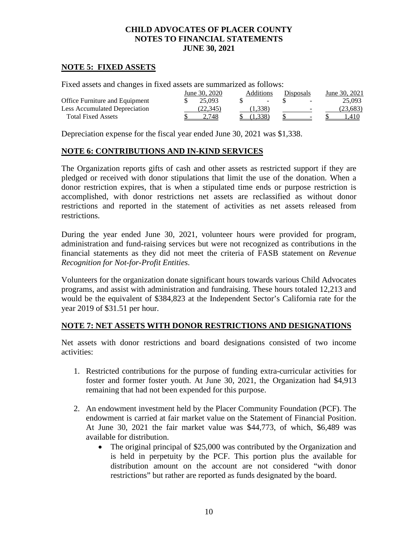## **NOTE 5: FIXED ASSETS**

Fixed assets and changes in fixed assets are summarized as follows:

|                                      | June 30, 2020 | <b>Additions</b> | Disposals                | June 30, 2021 |
|--------------------------------------|---------------|------------------|--------------------------|---------------|
| Office Furniture and Equipment       | 25.093        |                  | $\overline{\phantom{a}}$ | 25,093        |
| <b>Less Accumulated Depreciation</b> | (22.345)      | (1.338)          | $\overline{\phantom{a}}$ | (23,683)      |
| <b>Total Fixed Assets</b>            | 2.748         | .338             | $\overline{\phantom{a}}$ |               |

Depreciation expense for the fiscal year ended June 30, 2021 was \$1,338.

### **NOTE 6: CONTRIBUTIONS AND IN-KIND SERVICES**

The Organization reports gifts of cash and other assets as restricted support if they are pledged or received with donor stipulations that limit the use of the donation. When a donor restriction expires, that is when a stipulated time ends or purpose restriction is accomplished, with donor restrictions net assets are reclassified as without donor restrictions and reported in the statement of activities as net assets released from restrictions.

During the year ended June 30, 2021, volunteer hours were provided for program, administration and fund-raising services but were not recognized as contributions in the financial statements as they did not meet the criteria of FASB statement on *Revenue Recognition for Not-for-Profit Entities*.

Volunteers for the organization donate significant hours towards various Child Advocates programs, and assist with administration and fundraising. These hours totaled 12,213 and would be the equivalent of \$384,823 at the Independent Sector's California rate for the year 2019 of \$31.51 per hour.

#### **NOTE 7: NET ASSETS WITH DONOR RESTRICTIONS AND DESIGNATIONS**

Net assets with donor restrictions and board designations consisted of two income activities:

- 1. Restricted contributions for the purpose of funding extra-curricular activities for foster and former foster youth. At June 30, 2021, the Organization had \$4,913 remaining that had not been expended for this purpose.
- 2. An endowment investment held by the Placer Community Foundation (PCF). The endowment is carried at fair market value on the Statement of Financial Position. At June 30, 2021 the fair market value was \$44,773, of which, \$6,489 was available for distribution.
	- The original principal of \$25,000 was contributed by the Organization and is held in perpetuity by the PCF. This portion plus the available for distribution amount on the account are not considered "with donor restrictions" but rather are reported as funds designated by the board.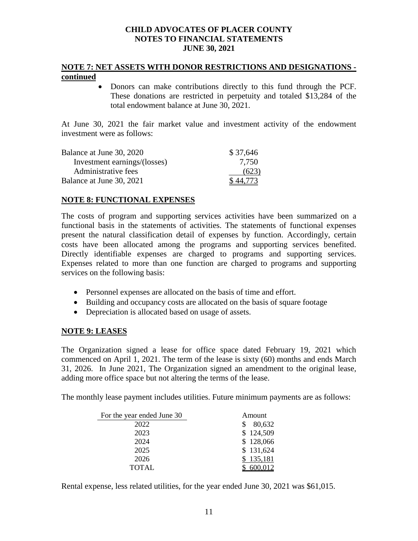# **NOTE 7: NET ASSETS WITH DONOR RESTRICTIONS AND DESIGNATIONS continued**

 Donors can make contributions directly to this fund through the PCF. These donations are restricted in perpetuity and totaled \$13,284 of the total endowment balance at June 30, 2021.

At June 30, 2021 the fair market value and investment activity of the endowment investment were as follows:

| Balance at June 30, 2020     | \$37,646 |
|------------------------------|----------|
| Investment earnings/(losses) | 7,750    |
| Administrative fees          | (623)    |
| Balance at June 30, 2021     | \$44,773 |

# **NOTE 8: FUNCTIONAL EXPENSES**

The costs of program and supporting services activities have been summarized on a functional basis in the statements of activities. The statements of functional expenses present the natural classification detail of expenses by function. Accordingly, certain costs have been allocated among the programs and supporting services benefited. Directly identifiable expenses are charged to programs and supporting services. Expenses related to more than one function are charged to programs and supporting services on the following basis:

- Personnel expenses are allocated on the basis of time and effort.
- Building and occupancy costs are allocated on the basis of square footage
- Depreciation is allocated based on usage of assets.

# **NOTE 9: LEASES**

The Organization signed a lease for office space dated February 19, 2021 which commenced on April 1, 2021. The term of the lease is sixty (60) months and ends March 31, 2026. In June 2021, The Organization signed an amendment to the original lease, adding more office space but not altering the terms of the lease.

The monthly lease payment includes utilities. Future minimum payments are as follows:

| For the year ended June 30 | Amount    |
|----------------------------|-----------|
| 2022                       | 80,632    |
| 2023                       | \$124,509 |
| 2024                       | \$128,066 |
| 2025                       | \$131,624 |
| 2026                       | \$135,181 |
| <b>TOTAL</b>               |           |

Rental expense, less related utilities, for the year ended June 30, 2021 was \$61,015.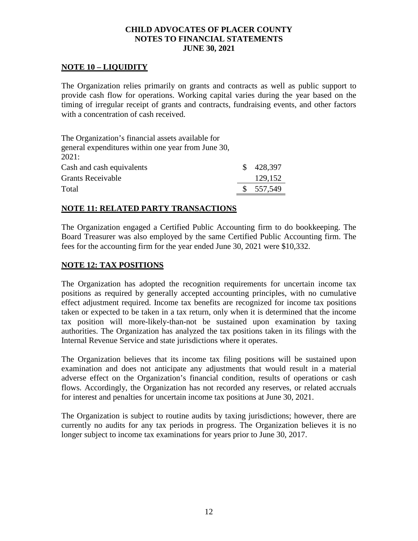### **NOTE 10 – LIQUIDITY**

The Organization relies primarily on grants and contracts as well as public support to provide cash flow for operations. Working capital varies during the year based on the timing of irregular receipt of grants and contracts, fundraising events, and other factors with a concentration of cash received.

| The Organization's financial assets available for  |    |           |
|----------------------------------------------------|----|-----------|
| general expenditures within one year from June 30, |    |           |
| 2021:                                              |    |           |
| Cash and cash equivalents                          | S. | 428,397   |
| <b>Grants Receivable</b>                           |    | 129,152   |
| Total                                              |    | \$557,549 |

# **NOTE 11: RELATED PARTY TRANSACTIONS**

The Organization engaged a Certified Public Accounting firm to do bookkeeping. The Board Treasurer was also employed by the same Certified Public Accounting firm. The fees for the accounting firm for the year ended June 30, 2021 were \$10,332.

### **NOTE 12: TAX POSITIONS**

The Organization has adopted the recognition requirements for uncertain income tax positions as required by generally accepted accounting principles, with no cumulative effect adjustment required. Income tax benefits are recognized for income tax positions taken or expected to be taken in a tax return, only when it is determined that the income tax position will more-likely-than-not be sustained upon examination by taxing authorities. The Organization has analyzed the tax positions taken in its filings with the Internal Revenue Service and state jurisdictions where it operates.

The Organization believes that its income tax filing positions will be sustained upon examination and does not anticipate any adjustments that would result in a material adverse effect on the Organization's financial condition, results of operations or cash flows. Accordingly, the Organization has not recorded any reserves, or related accruals for interest and penalties for uncertain income tax positions at June 30, 2021.

The Organization is subject to routine audits by taxing jurisdictions; however, there are currently no audits for any tax periods in progress. The Organization believes it is no longer subject to income tax examinations for years prior to June 30, 2017.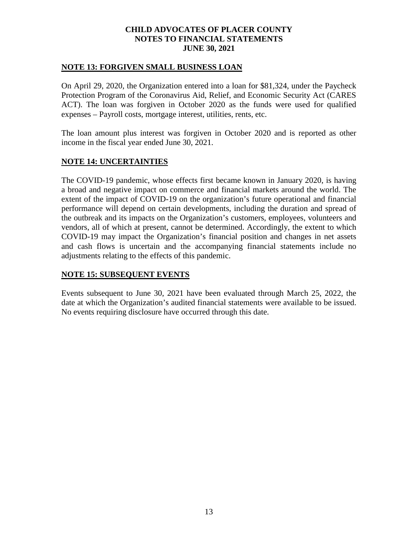### **NOTE 13: FORGIVEN SMALL BUSINESS LOAN**

On April 29, 2020, the Organization entered into a loan for \$81,324, under the Paycheck Protection Program of the Coronavirus Aid, Relief, and Economic Security Act (CARES ACT). The loan was forgiven in October 2020 as the funds were used for qualified expenses – Payroll costs, mortgage interest, utilities, rents, etc.

The loan amount plus interest was forgiven in October 2020 and is reported as other income in the fiscal year ended June 30, 2021.

# **NOTE 14: UNCERTAINTIES**

The COVID-19 pandemic, whose effects first became known in January 2020, is having a broad and negative impact on commerce and financial markets around the world. The extent of the impact of COVID-19 on the organization's future operational and financial performance will depend on certain developments, including the duration and spread of the outbreak and its impacts on the Organization's customers, employees, volunteers and vendors, all of which at present, cannot be determined. Accordingly, the extent to which COVID-19 may impact the Organization's financial position and changes in net assets and cash flows is uncertain and the accompanying financial statements include no adjustments relating to the effects of this pandemic.

# **NOTE 15: SUBSEQUENT EVENTS**

Events subsequent to June 30, 2021 have been evaluated through March 25, 2022, the date at which the Organization's audited financial statements were available to be issued. No events requiring disclosure have occurred through this date.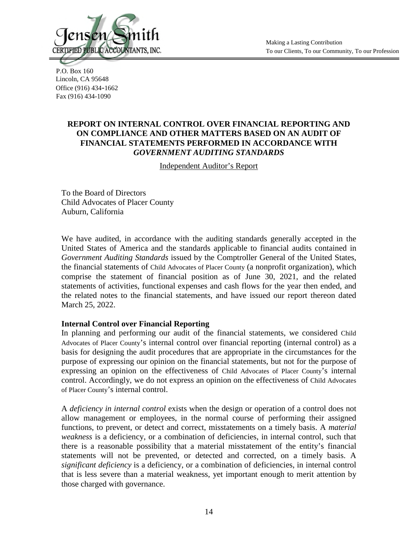

P.O. Box 160 Lincoln, CA 95648 Office (916) 434-1662 Fax (916) 434-1090

# **REPORT ON INTERNAL CONTROL OVER FINANCIAL REPORTING AND ON COMPLIANCE AND OTHER MATTERS BASED ON AN AUDIT OF FINANCIAL STATEMENTS PERFORMED IN ACCORDANCE WITH**  *GOVERNMENT AUDITING STANDARDS*

Independent Auditor's Report

To the Board of Directors Child Advocates of Placer County Auburn, California

We have audited, in accordance with the auditing standards generally accepted in the United States of America and the standards applicable to financial audits contained in *Government Auditing Standards* issued by the Comptroller General of the United States, the financial statements of Child Advocates of Placer County (a nonprofit organization), which comprise the statement of financial position as of June 30, 2021, and the related statements of activities, functional expenses and cash flows for the year then ended, and the related notes to the financial statements, and have issued our report thereon dated March 25, 2022.

## **Internal Control over Financial Reporting**

In planning and performing our audit of the financial statements, we considered Child Advocates of Placer County's internal control over financial reporting (internal control) as a basis for designing the audit procedures that are appropriate in the circumstances for the purpose of expressing our opinion on the financial statements, but not for the purpose of expressing an opinion on the effectiveness of Child Advocates of Placer County's internal control. Accordingly, we do not express an opinion on the effectiveness of Child Advocates of Placer County's internal control.

A *deficiency in internal control* exists when the design or operation of a control does not allow management or employees, in the normal course of performing their assigned functions, to prevent, or detect and correct, misstatements on a timely basis. A *material weakness* is a deficiency, or a combination of deficiencies, in internal control, such that there is a reasonable possibility that a material misstatement of the entity's financial statements will not be prevented, or detected and corrected, on a timely basis. A *significant deficiency* is a deficiency, or a combination of deficiencies, in internal control that is less severe than a material weakness, yet important enough to merit attention by those charged with governance.